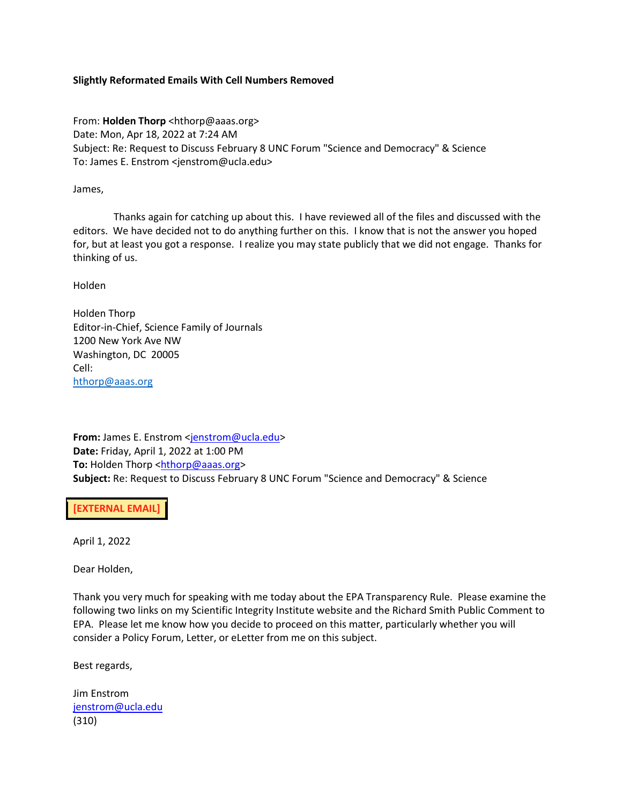## **Slightly Reformated Emails With Cell Numbers Removed**

From: **Holden Thorp** <hthorp@aaas.org> Date: Mon, Apr 18, 2022 at 7:24 AM Subject: Re: Request to Discuss February 8 UNC Forum "Science and Democracy" & Science To: James E. Enstrom <jenstrom@ucla.edu>

James,

 Thanks again for catching up about this. I have reviewed all of the files and discussed with the editors. We have decided not to do anything further on this. I know that is not the answer you hoped for, but at least you got a response. I realize you may state publicly that we did not engage. Thanks for thinking of us.

Holden

Holden Thorp Editor-in-Chief, Science Family of Journals 1200 New York Ave NW Washington, DC 20005 Cell: [hthorp@aaas.org](mailto:hthorp@aaas.org)

**From:** James E. Enstrom [<jenstrom@ucla.edu>](mailto:jenstrom@ucla.edu) **Date:** Friday, April 1, 2022 at 1:00 PM **To: Holden Thorp [<hthorp@aaas.org>](mailto:hthorp@aaas.org) Subject:** Re: Request to Discuss February 8 UNC Forum "Science and Democracy" & Science

**[EXTERNAL EMAIL]** 

April 1, 2022

Dear Holden,

Thank you very much for speaking with me today about the EPA Transparency Rule. Please examine the following two links on my Scientific Integrity Institute website and the Richard Smith Public Comment to EPA. Please let me know how you decide to proceed on this matter, particularly whether you will consider a Policy Forum, Letter, or eLetter from me on this subject.

Best regards,

Jim Enstrom [jenstrom@ucla.edu](mailto:jenstrom@ucla.edu) (310)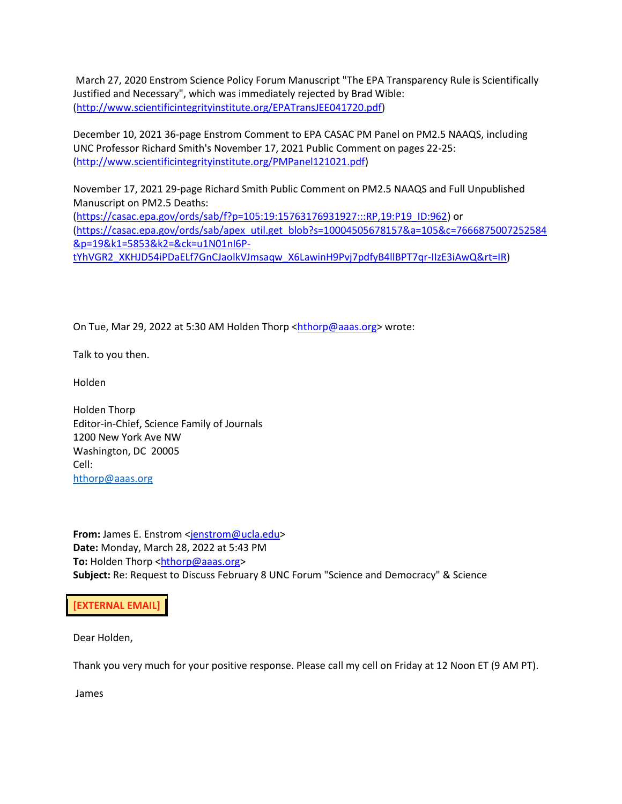March 27, 2020 Enstrom Science Policy Forum Manuscript "The EPA Transparency Rule is Scientifically Justified and Necessary", which was immediately rejected by Brad Wible: [\(http://www.scientificintegrityinstitute.org/EPATransJEE041720.pdf\)](https://nam12.safelinks.protection.outlook.com/?url=http%3A%2F%2Fscientificintegrityinstitute.org%2FEPATransJEE041720.pdf&data=04%7C01%7Chthorp%40aaas.org%7C0d36bcf5316544980c1908da14012567%7C2eebd8ff9ed140f0a15638e5dfb3bc56%7C0%7C0%7C637844292414035187%7CUnknown%7CTWFpbGZsb3d8eyJWIjoiMC4wLjAwMDAiLCJQIjoiV2luMzIiLCJBTiI6Ik1haWwiLCJXVCI6Mn0%3D%7C3000&sdata=umROyccrEeO6CH%2F%2Fh5HG4LGKJziPfXKgyrY7LXZWbC4%3D&reserved=0)

December 10, 2021 36-page Enstrom Comment to EPA CASAC PM Panel on PM2.5 NAAQS, including UNC Professor Richard Smith's November 17, 2021 Public Comment on pages 22-25: [\(http://www.scientificintegrityinstitute.org/PMPanel121021.pdf\)](https://nam12.safelinks.protection.outlook.com/?url=http%3A%2F%2Fscientificintegrityinstitute.org%2FPMPanel121021.pdf&data=04%7C01%7Chthorp%40aaas.org%7C0d36bcf5316544980c1908da14012567%7C2eebd8ff9ed140f0a15638e5dfb3bc56%7C0%7C0%7C637844292414035187%7CUnknown%7CTWFpbGZsb3d8eyJWIjoiMC4wLjAwMDAiLCJQIjoiV2luMzIiLCJBTiI6Ik1haWwiLCJXVCI6Mn0%3D%7C3000&sdata=ZE%2Fi3ZzQzU2icPT8P6scrszSuVEVODZyDS%2FZfMsLxlg%3D&reserved=0)

November 17, 2021 29-page Richard Smith Public Comment on PM2.5 NAAQS and Full Unpublished Manuscript on PM2.5 Deaths: [\(https://casac.epa.gov/ords/sab/f?p=105:19:15763176931927:::RP,19:P19\\_ID:962\)](https://casac.epa.gov/ords/sab/f?p=105:19:15763176931927:::RP,19:P19_ID:962) or

[\(https://casac.epa.gov/ords/sab/apex\\_util.get\\_blob?s=10004505678157&a=105&c=7666875007252584](https://nam12.safelinks.protection.outlook.com/?url=https%3A%2F%2Fcasac.epa.gov%2Fords%2Fsab%2Fapex_util.get_blob%3Fs%3D10004505678157%26a%3D105%26c%3D7666875007252584%26p%3D19%26k1%3D5853%26k2%3D%26ck%3Du1N01nI6P-tYhVGR2_XKHJD54iPDaELf7GnCJaolkVJmsaqw_X6LawinH9Pvj7pdfyB4llBPT7qr-IIzE3iAwQ%26rt%3DIR&data=04%7C01%7Chthorp%40aaas.org%7C0d36bcf5316544980c1908da14012567%7C2eebd8ff9ed140f0a15638e5dfb3bc56%7C0%7C0%7C637844292414035187%7CUnknown%7CTWFpbGZsb3d8eyJWIjoiMC4wLjAwMDAiLCJQIjoiV2luMzIiLCJBTiI6Ik1haWwiLCJXVCI6Mn0%3D%7C3000&sdata=tLGg7XfzEUbUcTfZle7lIPYynkEaekEf6khl2kt7%2FN0%3D&reserved=0) [&p=19&k1=5853&k2=&ck=u1N01nI6P-](https://nam12.safelinks.protection.outlook.com/?url=https%3A%2F%2Fcasac.epa.gov%2Fords%2Fsab%2Fapex_util.get_blob%3Fs%3D10004505678157%26a%3D105%26c%3D7666875007252584%26p%3D19%26k1%3D5853%26k2%3D%26ck%3Du1N01nI6P-tYhVGR2_XKHJD54iPDaELf7GnCJaolkVJmsaqw_X6LawinH9Pvj7pdfyB4llBPT7qr-IIzE3iAwQ%26rt%3DIR&data=04%7C01%7Chthorp%40aaas.org%7C0d36bcf5316544980c1908da14012567%7C2eebd8ff9ed140f0a15638e5dfb3bc56%7C0%7C0%7C637844292414035187%7CUnknown%7CTWFpbGZsb3d8eyJWIjoiMC4wLjAwMDAiLCJQIjoiV2luMzIiLCJBTiI6Ik1haWwiLCJXVCI6Mn0%3D%7C3000&sdata=tLGg7XfzEUbUcTfZle7lIPYynkEaekEf6khl2kt7%2FN0%3D&reserved=0)

[tYhVGR2\\_XKHJD54iPDaELf7GnCJaolkVJmsaqw\\_X6LawinH9Pvj7pdfyB4llBPT7qr-IIzE3iAwQ&rt=IR\)](https://nam12.safelinks.protection.outlook.com/?url=https%3A%2F%2Fcasac.epa.gov%2Fords%2Fsab%2Fapex_util.get_blob%3Fs%3D10004505678157%26a%3D105%26c%3D7666875007252584%26p%3D19%26k1%3D5853%26k2%3D%26ck%3Du1N01nI6P-tYhVGR2_XKHJD54iPDaELf7GnCJaolkVJmsaqw_X6LawinH9Pvj7pdfyB4llBPT7qr-IIzE3iAwQ%26rt%3DIR&data=04%7C01%7Chthorp%40aaas.org%7C0d36bcf5316544980c1908da14012567%7C2eebd8ff9ed140f0a15638e5dfb3bc56%7C0%7C0%7C637844292414035187%7CUnknown%7CTWFpbGZsb3d8eyJWIjoiMC4wLjAwMDAiLCJQIjoiV2luMzIiLCJBTiI6Ik1haWwiLCJXVCI6Mn0%3D%7C3000&sdata=tLGg7XfzEUbUcTfZle7lIPYynkEaekEf6khl2kt7%2FN0%3D&reserved=0)

On Tue, Mar 29, 2022 at 5:30 AM Holden Thorp [<hthorp@aaas.org>](mailto:hthorp@aaas.org) wrote:

Talk to you then.

Holden

Holden Thorp Editor-in-Chief, Science Family of Journals 1200 New York Ave NW Washington, DC 20005 Cell: [hthorp@aaas.org](mailto:hthorp@aaas.org)

**From:** James E. Enstrom <*jenstrom@ucla.edu>* **Date:** Monday, March 28, 2022 at 5:43 PM **To: Holden Thorp [<hthorp@aaas.org>](mailto:hthorp@aaas.org) Subject:** Re: Request to Discuss February 8 UNC Forum "Science and Democracy" & Science

**[EXTERNAL EMAIL]** 

Dear Holden,

Thank you very much for your positive response. Please call my cell on Friday at 12 Noon ET (9 AM PT).

James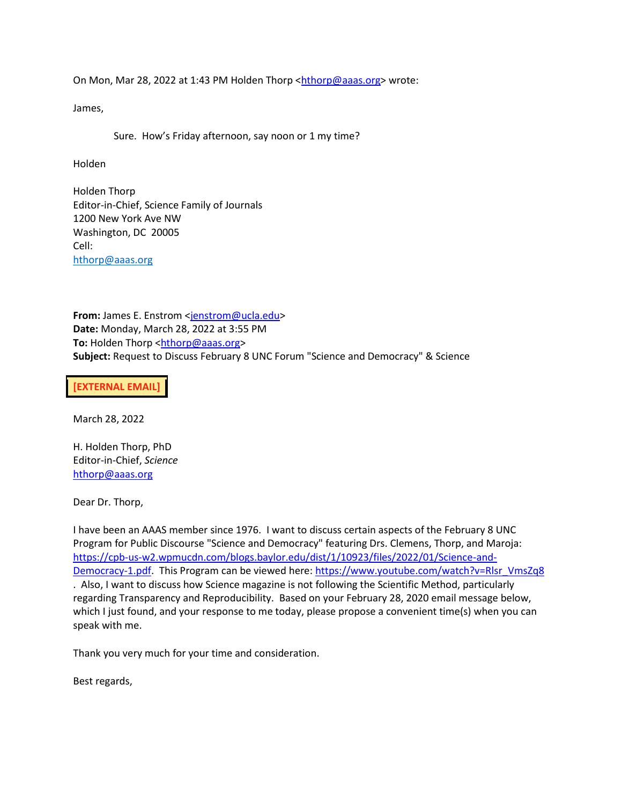On Mon, Mar 28, 2022 at 1:43 PM Holden Thorp [<hthorp@aaas.org>](mailto:hthorp@aaas.org) wrote:

James,

Sure. How's Friday afternoon, say noon or 1 my time?

Holden

Holden Thorp Editor-in-Chief, Science Family of Journals 1200 New York Ave NW Washington, DC 20005 Cell: [hthorp@aaas.org](mailto:hthorp@aaas.org)

**From:** James E. Enstrom [<jenstrom@ucla.edu>](mailto:jenstrom@ucla.edu) **Date:** Monday, March 28, 2022 at 3:55 PM **To: Holden Thorp [<hthorp@aaas.org>](mailto:hthorp@aaas.org) Subject:** Request to Discuss February 8 UNC Forum "Science and Democracy" & Science

**[EXTERNAL EMAIL]** 

March 28, 2022

H. Holden Thorp, PhD Editor-in-Chief, *Science* [hthorp@aaas.org](mailto:hthorp@aaas.org)

Dear Dr. Thorp,

I have been an AAAS member since 1976. I want to discuss certain aspects of the February 8 UNC Program for Public Discourse "Science and Democracy" featuring Drs. Clemens, Thorp, and Maroja: [https://cpb-us-w2.wpmucdn.com/blogs.baylor.edu/dist/1/10923/files/2022/01/Science-and-](https://nam12.safelinks.protection.outlook.com/?url=https%3A%2F%2Fcpb-us-w2.wpmucdn.com%2Fblogs.baylor.edu%2Fdist%2F1%2F10923%2Ffiles%2F2022%2F01%2FScience-and-Democracy-1.pdf&data=04%7C01%7Chthorp%40aaas.org%7C0d36bcf5316544980c1908da14012567%7C2eebd8ff9ed140f0a15638e5dfb3bc56%7C0%7C0%7C637844292414191418%7CUnknown%7CTWFpbGZsb3d8eyJWIjoiMC4wLjAwMDAiLCJQIjoiV2luMzIiLCJBTiI6Ik1haWwiLCJXVCI6Mn0%3D%7C3000&sdata=y%2Bm5Jk1oCXR51WXRUSNVmJ%2FjvRBkktK0TKHpwiNc0k8%3D&reserved=0)[Democracy-1.pdf.](https://nam12.safelinks.protection.outlook.com/?url=https%3A%2F%2Fcpb-us-w2.wpmucdn.com%2Fblogs.baylor.edu%2Fdist%2F1%2F10923%2Ffiles%2F2022%2F01%2FScience-and-Democracy-1.pdf&data=04%7C01%7Chthorp%40aaas.org%7C0d36bcf5316544980c1908da14012567%7C2eebd8ff9ed140f0a15638e5dfb3bc56%7C0%7C0%7C637844292414191418%7CUnknown%7CTWFpbGZsb3d8eyJWIjoiMC4wLjAwMDAiLCJQIjoiV2luMzIiLCJBTiI6Ik1haWwiLCJXVCI6Mn0%3D%7C3000&sdata=y%2Bm5Jk1oCXR51WXRUSNVmJ%2FjvRBkktK0TKHpwiNc0k8%3D&reserved=0) This Program can be viewed here: [https://www.youtube.com/watch?v=Rlsr\\_VmsZq8](https://nam12.safelinks.protection.outlook.com/?url=https%3A%2F%2Fwww.youtube.com%2Fwatch%3Fv%3DRlsr_VmsZq8&data=04%7C01%7Chthorp%40aaas.org%7C0d36bcf5316544980c1908da14012567%7C2eebd8ff9ed140f0a15638e5dfb3bc56%7C0%7C0%7C637844292414191418%7CUnknown%7CTWFpbGZsb3d8eyJWIjoiMC4wLjAwMDAiLCJQIjoiV2luMzIiLCJBTiI6Ik1haWwiLCJXVCI6Mn0%3D%7C3000&sdata=b9sDfgFRzAXCfhIoZyt0Vn4me%2BrxnPIVF58p%2Bo2ubsc%3D&reserved=0) . Also, I want to discuss how Science magazine is not following the Scientific Method, particularly regarding Transparency and Reproducibility. Based on your February 28, 2020 email message below, which I just found, and your response to me today, please propose a convenient time(s) when you can speak with me.

Thank you very much for your time and consideration.

Best regards,